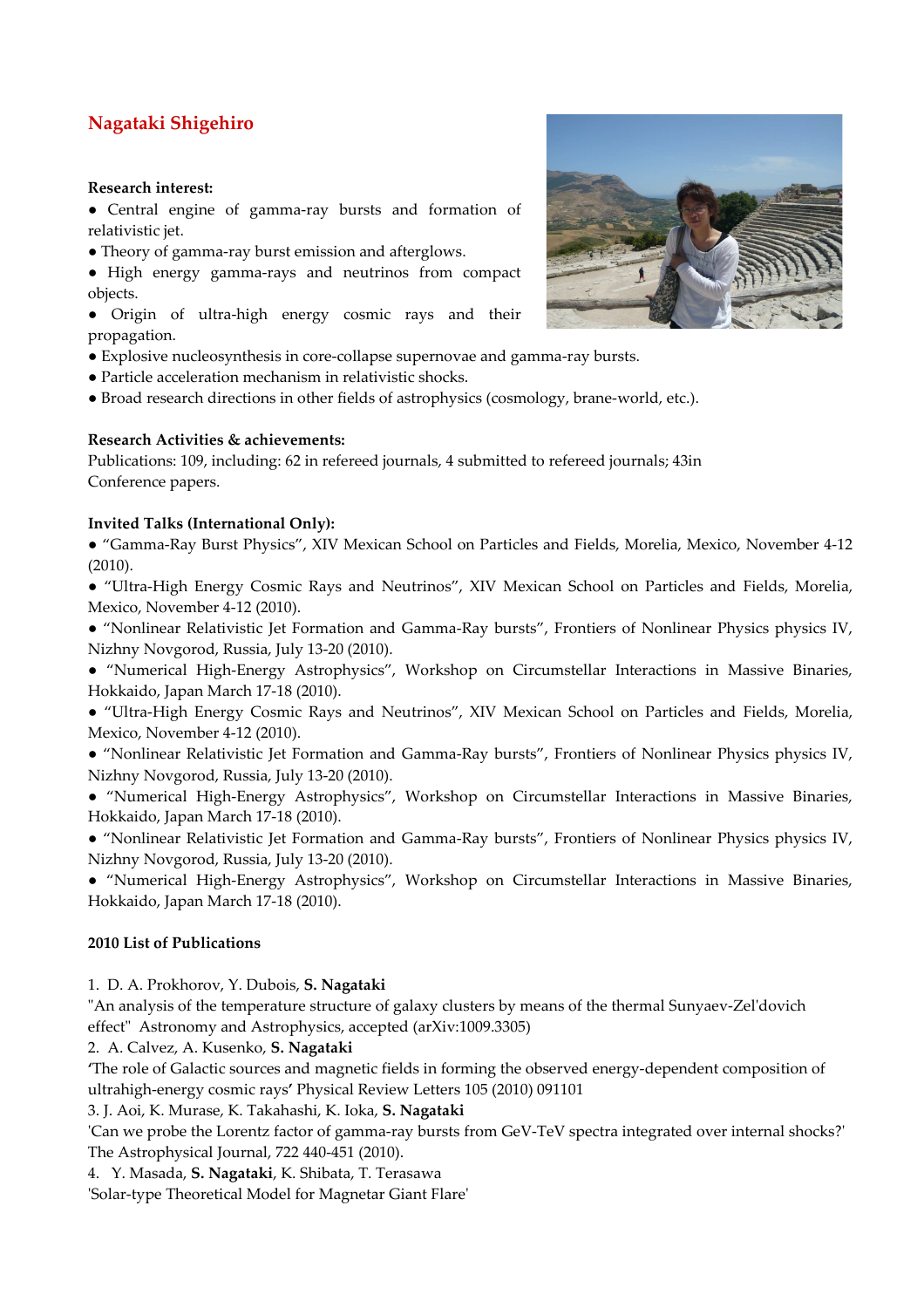# **Nagataki Shigehiro**

#### **Research interest:**

● Central engine of gamma-ray bursts and formation of relativistic jet.

- Theory of gamma-ray burst emission and afterglows.
- High energy gamma-rays and neutrinos from compact objects.

● Origin of ultra-high energy cosmic rays and their propagation.

- Explosive nucleosynthesis in core-collapse supernovae and gamma-ray bursts.
- Particle acceleration mechanism in relativistic shocks.
- Broad research directions in other fields of astrophysics (cosmology, brane-world, etc.).

### **Research Activities & achievements:**

Publications: 109, including: 62 in refereed journals, 4 submitted to refereed journals; 43in Conference papers.

### **Invited Talks (International Only):**

● "Gamma-Ray Burst Physics", XIV Mexican School on Particles and Fields, Morelia, Mexico, November 4-12 (2010).

● "Ultra-High Energy Cosmic Rays and Neutrinos", XIV Mexican School on Particles and Fields, Morelia, Mexico, November 4-12 (2010).

- "Nonlinear Relativistic Jet Formation and Gamma-Ray bursts", Frontiers of Nonlinear Physics physics IV, Nizhny Novgorod, Russia, July 13-20 (2010).
- "Numerical High-Energy Astrophysics", Workshop on Circumstellar Interactions in Massive Binaries, Hokkaido, Japan March 17-18 (2010).
- "Ultra-High Energy Cosmic Rays and Neutrinos", XIV Mexican School on Particles and Fields, Morelia, Mexico, November 4-12 (2010).
- "Nonlinear Relativistic Jet Formation and Gamma-Ray bursts", Frontiers of Nonlinear Physics physics IV, Nizhny Novgorod, Russia, July 13-20 (2010).
- "Numerical High-Energy Astrophysics", Workshop on Circumstellar Interactions in Massive Binaries, Hokkaido, Japan March 17-18 (2010).
- "Nonlinear Relativistic Jet Formation and Gamma-Ray bursts", Frontiers of Nonlinear Physics physics IV, Nizhny Novgorod, Russia, July 13-20 (2010).

● "Numerical High-Energy Astrophysics", Workshop on Circumstellar Interactions in Massive Binaries, Hokkaido, Japan March 17-18 (2010).

## **2010 List of Publications**

1. D. A. Prokhorov, Y. Dubois, **S. Nagataki**

"An analysis of the temperature structure of galaxy clusters by means of the thermal Sunyaev-Zel'dovich effect" Astronomy and Astrophysics, accepted (arXiv:1009.3305)

2. A. Calvez, A. Kusenko, **S. Nagataki** 

**'**The role of Galactic sources and magnetic fields in forming the observed energy-dependent composition of ultrahigh-energy cosmic rays**'** Physical Review Letters 105 (2010) 091101

3. J. Aoi, K. Murase, K. Takahashi, K. Ioka, **S. Nagataki**

'Can we probe the Lorentz factor of gamma-ray bursts from GeV-TeV spectra integrated over internal shocks?' The Astrophysical Journal, 722 440-451 (2010).

4. Y. Masada, **S. Nagataki**, K. Shibata, T. Terasawa

'Solar-type Theoretical Model for Magnetar Giant Flare'